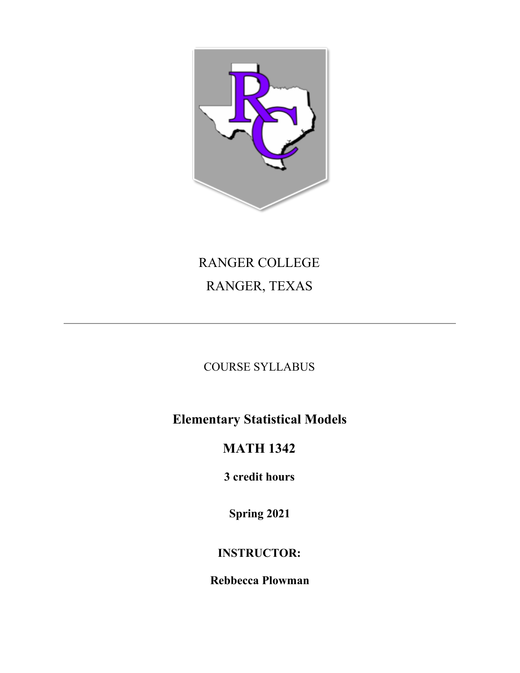

# RANGER COLLEGE RANGER, TEXAS

COURSE SYLLABUS

**Elementary Statistical Models**

# **MATH 1342**

**3 credit hours**

**Spring 2021**

# **INSTRUCTOR:**

**Rebbecca Plowman**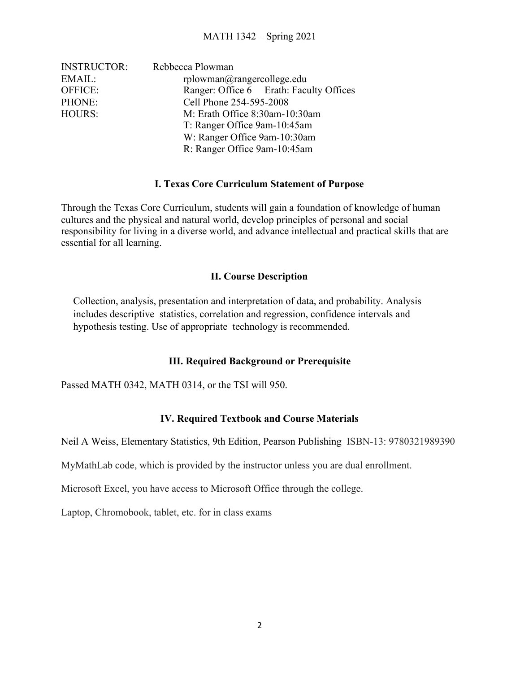| <b>INSTRUCTOR:</b> | Rebbecca Plowman                        |  |  |
|--------------------|-----------------------------------------|--|--|
| EMAIL:             | $r$ plowman $@$ rangercollege.edu       |  |  |
| <b>OFFICE:</b>     | Ranger: Office 6 Erath: Faculty Offices |  |  |
| PHONE:             | Cell Phone 254-595-2008                 |  |  |
| HOURS:             | M: Erath Office 8:30am-10:30am          |  |  |
|                    | T: Ranger Office 9am-10:45am            |  |  |
|                    | W: Ranger Office 9am-10:30am            |  |  |
|                    | R: Ranger Office 9am-10:45am            |  |  |

# **I. Texas Core Curriculum Statement of Purpose**

Through the Texas Core Curriculum, students will gain a foundation of knowledge of human cultures and the physical and natural world, develop principles of personal and social responsibility for living in a diverse world, and advance intellectual and practical skills that are essential for all learning.

#### **II. Course Description**

Collection, analysis, presentation and interpretation of data, and probability. Analysis includes descriptive statistics, correlation and regression, confidence intervals and hypothesis testing. Use of appropriate technology is recommended.

# **III. Required Background or Prerequisite**

Passed MATH 0342, MATH 0314, or the TSI will 950.

# **IV. Required Textbook and Course Materials**

Neil A Weiss, Elementary Statistics, 9th Edition, Pearson Publishing ISBN-13: 9780321989390

MyMathLab code, which is provided by the instructor unless you are dual enrollment.

Microsoft Excel, you have access to Microsoft Office through the college.

Laptop, Chromobook, tablet, etc. for in class exams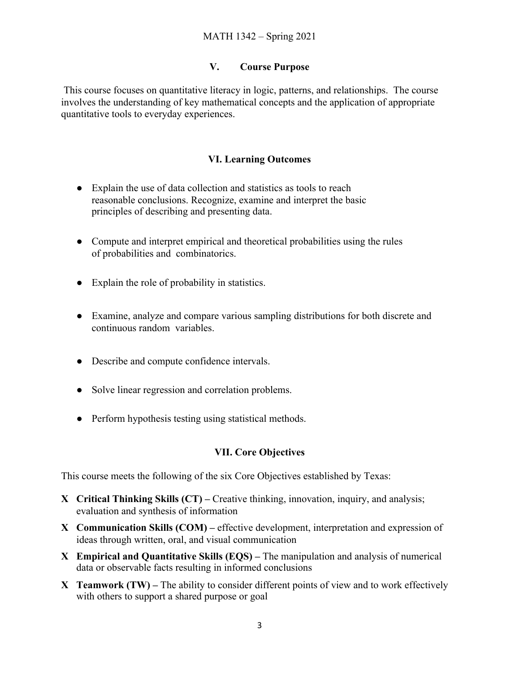# **V. Course Purpose**

This course focuses on quantitative literacy in logic, patterns, and relationships. The course involves the understanding of key mathematical concepts and the application of appropriate quantitative tools to everyday experiences.

# **VI. Learning Outcomes**

- Explain the use of data collection and statistics as tools to reach reasonable conclusions. Recognize, examine and interpret the basic principles of describing and presenting data.
- Compute and interpret empirical and theoretical probabilities using the rules of probabilities and combinatorics.
- Explain the role of probability in statistics.
- Examine, analyze and compare various sampling distributions for both discrete and continuous random variables.
- Describe and compute confidence intervals.
- Solve linear regression and correlation problems.
- Perform hypothesis testing using statistical methods.

# **VII. Core Objectives**

This course meets the following of the six Core Objectives established by Texas:

- **X Critical Thinking Skills (CT)** Creative thinking, innovation, inquiry, and analysis; evaluation and synthesis of information
- **X Communication Skills (COM)** effective development, interpretation and expression of ideas through written, oral, and visual communication
- **X Empirical and Quantitative Skills (EQS)** The manipulation and analysis of numerical data or observable facts resulting in informed conclusions
- **X Teamwork (TW)** The ability to consider different points of view and to work effectively with others to support a shared purpose or goal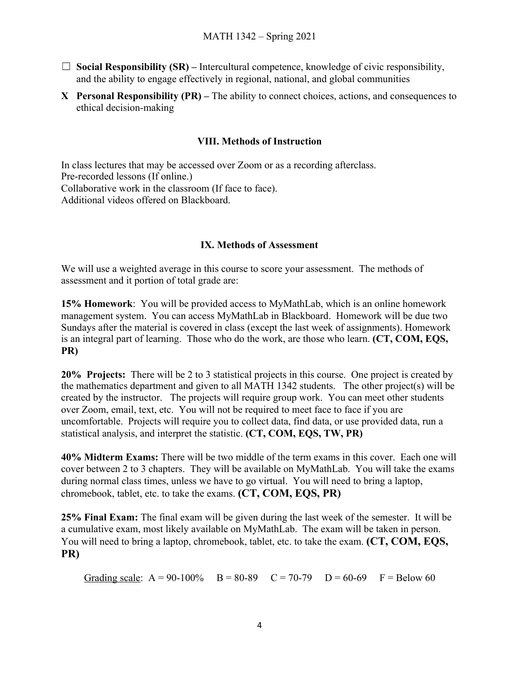- $\Box$  **Social Responsibility (SR)** Intercultural competence, knowledge of civic responsibility, and the ability to engage effectively in regional, national, and global communities
- **X Personal Responsibility (PR)** The ability to connect choices, actions, and consequences to ethical decision-making

# **VIII. Methods of Instruction**

In class lectures that may be accessed over Zoom or as a recording afterclass. Pre-recorded lessons (If online.) Collaborative work in the classroom (If face to face). Additional videos offered on Blackboard.

# **IX. Methods of Assessment**

We will use a weighted average in this course to score your assessment. The methods of assessment and it portion of total grade are:

**15% Homework**: You will be provided access to MyMathLab, which is an online homework management system. You can access MyMathLab in Blackboard. Homework will be due two Sundays after the material is covered in class (except the last week of assignments). Homework is an integral part of learning. Those who do the work, are those who learn. **(CT, COM, EQS, PR)**

**20% Projects:** There will be 2 to 3 statistical projects in this course. One project is created by the mathematics department and given to all MATH 1342 students. The other project(s) will be created by the instructor. The projects will require group work. You can meet other students over Zoom, email, text, etc. You will not be required to meet face to face if you are uncomfortable. Projects will require you to collect data, find data, or use provided data, run a statistical analysis, and interpret the statistic. **(CT, COM, EQS, TW, PR)**

**40% Midterm Exams:** There will be two middle of the term exams in this cover. Each one will cover between 2 to 3 chapters. They will be available on MyMathLab. You will take the exams during normal class times, unless we have to go virtual. You will need to bring a laptop, chromebook, tablet, etc. to take the exams. **(CT, COM, EQS, PR)**

**25% Final Exam:** The final exam will be given during the last week of the semester. It will be a cumulative exam, most likely available on MyMathLab. The exam will be taken in person. You will need to bring a laptop, chromebook, tablet, etc. to take the exam. **(CT, COM, EQS, PR)**

Grading scale:  $A = 90-100\%$  B = 80-89 C = 70-79 D = 60-69 F = Below 60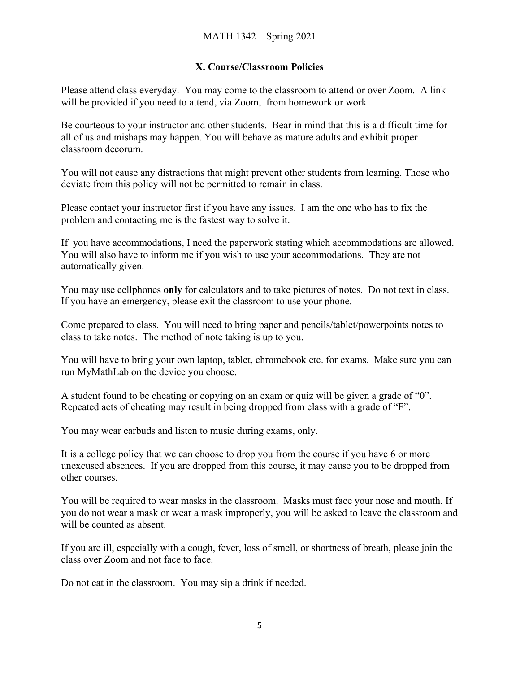# **X. Course/Classroom Policies**

Please attend class everyday. You may come to the classroom to attend or over Zoom. A link will be provided if you need to attend, via Zoom, from homework or work.

Be courteous to your instructor and other students. Bear in mind that this is a difficult time for all of us and mishaps may happen. You will behave as mature adults and exhibit proper classroom decorum.

You will not cause any distractions that might prevent other students from learning. Those who deviate from this policy will not be permitted to remain in class.

Please contact your instructor first if you have any issues. I am the one who has to fix the problem and contacting me is the fastest way to solve it.

If you have accommodations, I need the paperwork stating which accommodations are allowed. You will also have to inform me if you wish to use your accommodations. They are not automatically given.

You may use cellphones **only** for calculators and to take pictures of notes. Do not text in class. If you have an emergency, please exit the classroom to use your phone.

Come prepared to class. You will need to bring paper and pencils/tablet/powerpoints notes to class to take notes. The method of note taking is up to you.

You will have to bring your own laptop, tablet, chromebook etc. for exams. Make sure you can run MyMathLab on the device you choose.

A student found to be cheating or copying on an exam or quiz will be given a grade of "0". Repeated acts of cheating may result in being dropped from class with a grade of "F".

You may wear earbuds and listen to music during exams, only.

It is a college policy that we can choose to drop you from the course if you have 6 or more unexcused absences. If you are dropped from this course, it may cause you to be dropped from other courses.

You will be required to wear masks in the classroom. Masks must face your nose and mouth. If you do not wear a mask or wear a mask improperly, you will be asked to leave the classroom and will be counted as absent.

If you are ill, especially with a cough, fever, loss of smell, or shortness of breath, please join the class over Zoom and not face to face.

Do not eat in the classroom. You may sip a drink if needed.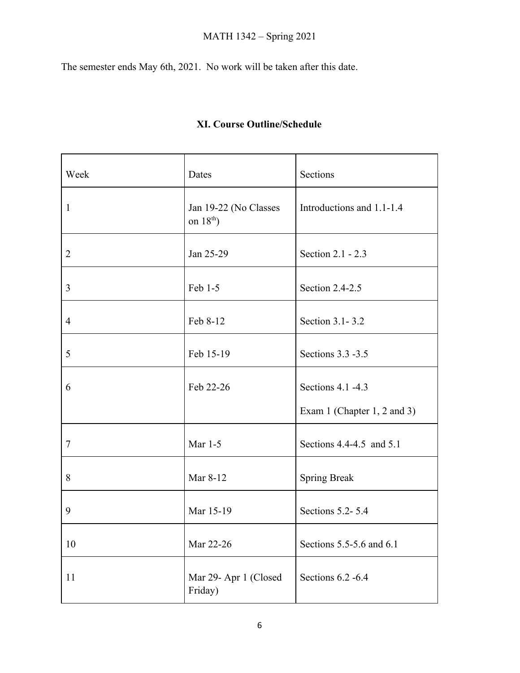# MATH 1342 – Spring 2021

The semester ends May 6th, 2021. No work will be taken after this date.

|  | XI. Course Outline/Schedule |
|--|-----------------------------|
|--|-----------------------------|

| Week           | Dates                                | Sections                    |
|----------------|--------------------------------------|-----------------------------|
| $\mathbf{1}$   | Jan 19-22 (No Classes<br>on $18th$ ) | Introductions and 1.1-1.4   |
| 2              | Jan 25-29                            | Section 2.1 - 2.3           |
| 3              | Feb 1-5                              | Section 2.4-2.5             |
| $\overline{4}$ | Feb 8-12                             | Section 3.1-3.2             |
| 5              | Feb 15-19                            | Sections 3.3 -3.5           |
| 6              | Feb 22-26                            | Sections 4.1 -4.3           |
|                |                                      | Exam 1 (Chapter 1, 2 and 3) |
| $\tau$         | Mar 1-5                              | Sections 4.4-4.5 and 5.1    |
| 8              | Mar 8-12                             | <b>Spring Break</b>         |
| 9              | Mar 15-19                            | Sections 5.2-5.4            |
| 10             | Mar 22-26                            | Sections 5.5-5.6 and 6.1    |
| 11             | Mar 29- Apr 1 (Closed<br>Friday)     | Sections 6.2 -6.4           |